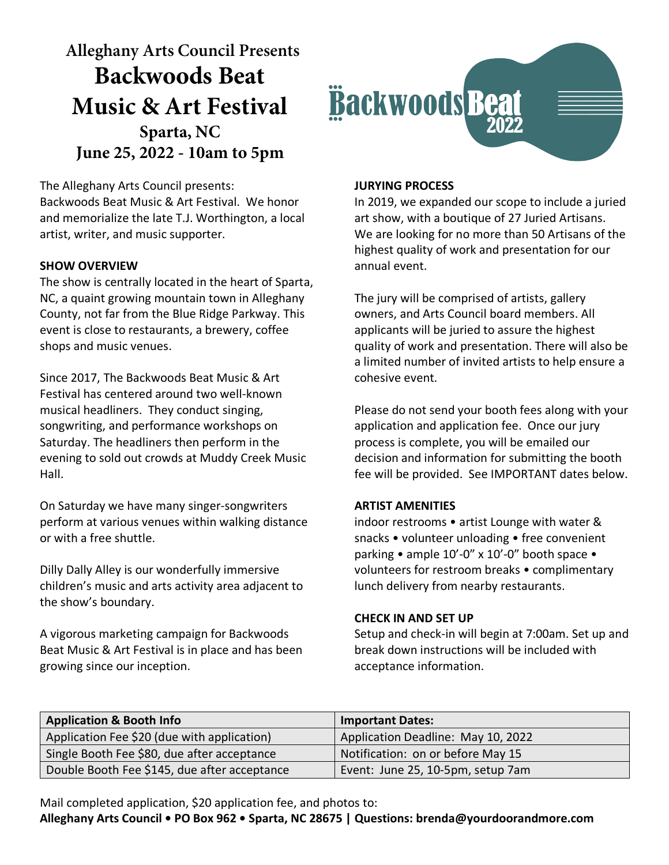**Alleghany Arts Council Presents Backwoods Beat Music & Art Festival Sparta, NC June 25, 2022 - 10am to 5pm**

The Alleghany Arts Council presents: Backwoods Beat Music & Art Festival. We honor and memorialize the late T.J. Worthington, a local artist, writer, and music supporter.

## **SHOW OVERVIEW**

The show is centrally located in the heart of Sparta, NC, a quaint growing mountain town in Alleghany County, not far from the Blue Ridge Parkway. This event is close to restaurants, a brewery, coffee shops and music venues.

Since 2017, The Backwoods Beat Music & Art Festival has centered around two well-known musical headliners. They conduct singing, songwriting, and performance workshops on Saturday. The headliners then perform in the evening to sold out crowds at Muddy Creek Music Hall.

On Saturday we have many singer-songwriters perform at various venues within walking distance or with a free shuttle.

Dilly Dally Alley is our wonderfully immersive children's music and arts activity area adjacent to the show's boundary.

A vigorous marketing campaign for Backwoods Beat Music & Art Festival is in place and has been growing since our inception.



## **JURYING PROCESS**

In 2019, we expanded our scope to include a juried art show, with a boutique of 27 Juried Artisans. We are looking for no more than 50 Artisans of the highest quality of work and presentation for our annual event.

The jury will be comprised of artists, gallery owners, and Arts Council board members. All applicants will be juried to assure the highest quality of work and presentation. There will also be a limited number of invited artists to help ensure a cohesive event.

Please do not send your booth fees along with your application and application fee. Once our jury process is complete, you will be emailed our decision and information for submitting the booth fee will be provided. See IMPORTANT dates below.

### **ARTIST AMENITIES**

indoor restrooms • artist Lounge with water & snacks • volunteer unloading • free convenient parking • ample 10'-0" x 10'-0" booth space • volunteers for restroom breaks • complimentary lunch delivery from nearby restaurants.

#### **CHECK IN AND SET UP**

Setup and check-in will begin at 7:00am. Set up and break down instructions will be included with acceptance information.

| <b>Application &amp; Booth Info</b>          | <b>Important Dates:</b>            |
|----------------------------------------------|------------------------------------|
| Application Fee \$20 (due with application)  | Application Deadline: May 10, 2022 |
| Single Booth Fee \$80, due after acceptance  | Notification: on or before May 15  |
| Double Booth Fee \$145, due after acceptance | Event: June 25, 10-5pm, setup 7am  |

Mail completed application, \$20 application fee, and photos to:

**Alleghany Arts Council • PO Box 962 • Sparta, NC 28675 | Questions: brenda@yourdoorandmore.com**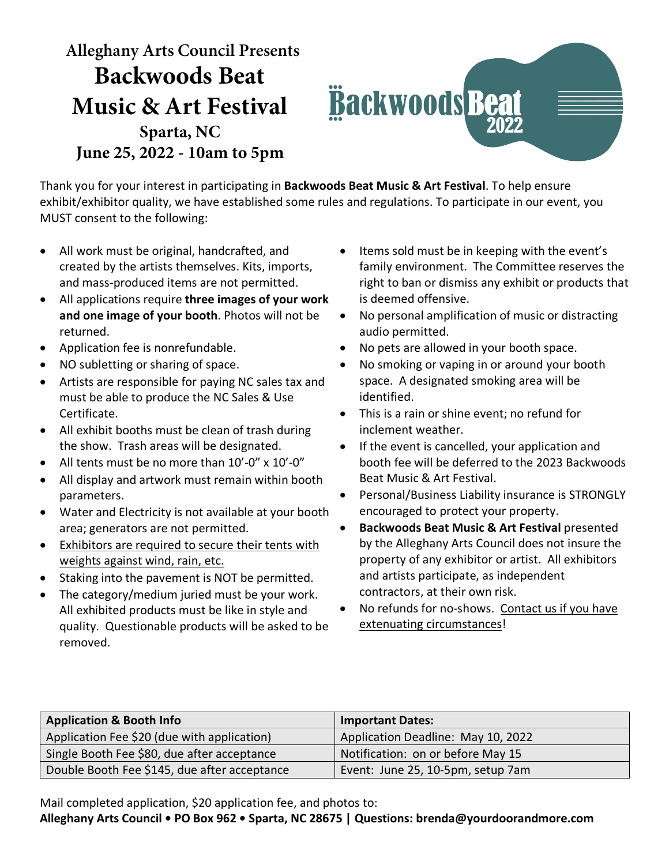**Alleghany Arts Council Presents Backwoods Beat Music & Art Festival Sparta, NC June 25, 2022 - 10am to 5pm**



Thank you for your interest in participating in **Backwoods Beat Music & Art Festival**. To help ensure exhibit/exhibitor quality, we have established some rules and regulations. To participate in our event, you MUST consent to the following:

- All work must be original, handcrafted, and created by the artists themselves. Kits, imports, and mass-produced items are not permitted.
- All applications require **three images of your work and one image of your booth**. Photos will not be returned.
- Application fee is nonrefundable.
- NO subletting or sharing of space.
- Artists are responsible for paying NC sales tax and must be able to produce the NC Sales & Use Certificate.
- All exhibit booths must be clean of trash during the show. Trash areas will be designated.
- All tents must be no more than 10'-0" x 10'-0"
- All display and artwork must remain within booth parameters.
- Water and Electricity is not available at your booth area; generators are not permitted.
- Exhibitors are required to secure their tents with weights against wind, rain, etc.
- Staking into the pavement is NOT be permitted.
- The category/medium juried must be your work. All exhibited products must be like in style and quality. Questionable products will be asked to be removed.
- Items sold must be in keeping with the event's family environment. The Committee reserves the right to ban or dismiss any exhibit or products that is deemed offensive.
- No personal amplification of music or distracting audio permitted.
- No pets are allowed in your booth space.
- No smoking or vaping in or around your booth space. A designated smoking area will be identified.
- This is a rain or shine event; no refund for inclement weather.
- If the event is cancelled, your application and booth fee will be deferred to the 2023 Backwoods Beat Music & Art Festival.
- Personal/Business Liability insurance is STRONGLY encouraged to protect your property.
- **Backwoods Beat Music & Art Festival** presented by the Alleghany Arts Council does not insure the property of any exhibitor or artist. All exhibitors and artists participate, as independent contractors, at their own risk.
- No refunds for no-shows. Contact us if you have extenuating circumstances!

| <b>Application &amp; Booth Info</b>          | <b>Important Dates:</b>            |
|----------------------------------------------|------------------------------------|
| Application Fee \$20 (due with application)  | Application Deadline: May 10, 2022 |
| Single Booth Fee \$80, due after acceptance  | Notification: on or before May 15  |
| Double Booth Fee \$145, due after acceptance | Event: June 25, 10-5pm, setup 7am  |

Mail completed application, \$20 application fee, and photos to:

**Alleghany Arts Council • PO Box 962 • Sparta, NC 28675 | Questions: brenda@yourdoorandmore.com**